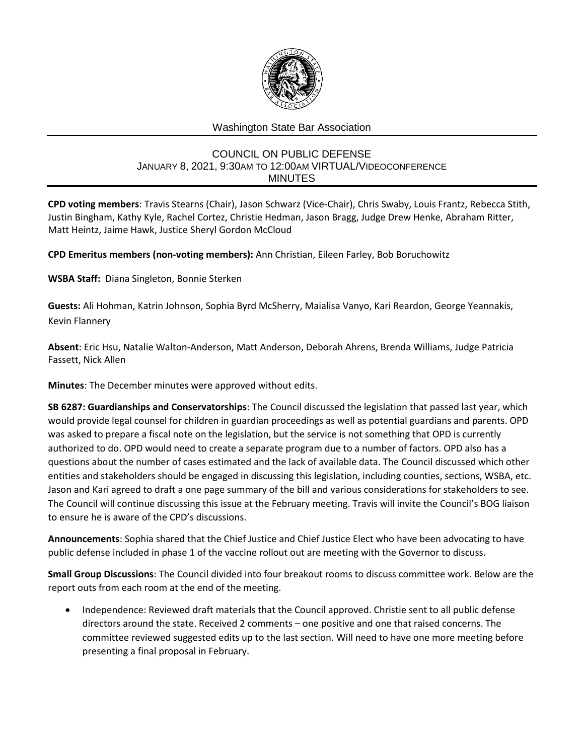

## Washington State Bar Association

## COUNCIL ON PUBLIC DEFENSE JANUARY 8, 2021, 9:30AM TO 12:00AM VIRTUAL/VIDEOCONFERENCE MINUTES

**CPD voting members**: Travis Stearns (Chair), Jason Schwarz (Vice-Chair), Chris Swaby, Louis Frantz, Rebecca Stith, Justin Bingham, Kathy Kyle, Rachel Cortez, Christie Hedman, Jason Bragg, Judge Drew Henke, Abraham Ritter, Matt Heintz, Jaime Hawk, Justice Sheryl Gordon McCloud

**CPD Emeritus members (non-voting members):** Ann Christian, Eileen Farley, Bob Boruchowitz

**WSBA Staff:** Diana Singleton, Bonnie Sterken

**Guests:** Ali Hohman, Katrin Johnson, Sophia Byrd McSherry, Maialisa Vanyo, Kari Reardon, George Yeannakis, Kevin Flannery

**Absent**: Eric Hsu, Natalie Walton-Anderson, Matt Anderson, Deborah Ahrens, Brenda Williams, Judge Patricia Fassett, Nick Allen

**Minutes**: The December minutes were approved without edits.

**SB 6287: Guardianships and Conservatorships**: The Council discussed the legislation that passed last year, which would provide legal counsel for children in guardian proceedings as well as potential guardians and parents. OPD was asked to prepare a fiscal note on the legislation, but the service is not something that OPD is currently authorized to do. OPD would need to create a separate program due to a number of factors. OPD also has a questions about the number of cases estimated and the lack of available data. The Council discussed which other entities and stakeholders should be engaged in discussing this legislation, including counties, sections, WSBA, etc. Jason and Kari agreed to draft a one page summary of the bill and various considerations for stakeholders to see. The Council will continue discussing this issue at the February meeting. Travis will invite the Council's BOG liaison to ensure he is aware of the CPD's discussions.

**Announcements**: Sophia shared that the Chief Justice and Chief Justice Elect who have been advocating to have public defense included in phase 1 of the vaccine rollout out are meeting with the Governor to discuss.

**Small Group Discussions**: The Council divided into four breakout rooms to discuss committee work. Below are the report outs from each room at the end of the meeting.

• Independence: Reviewed draft materials that the Council approved. Christie sent to all public defense directors around the state. Received 2 comments – one positive and one that raised concerns. The committee reviewed suggested edits up to the last section. Will need to have one more meeting before presenting a final proposal in February.